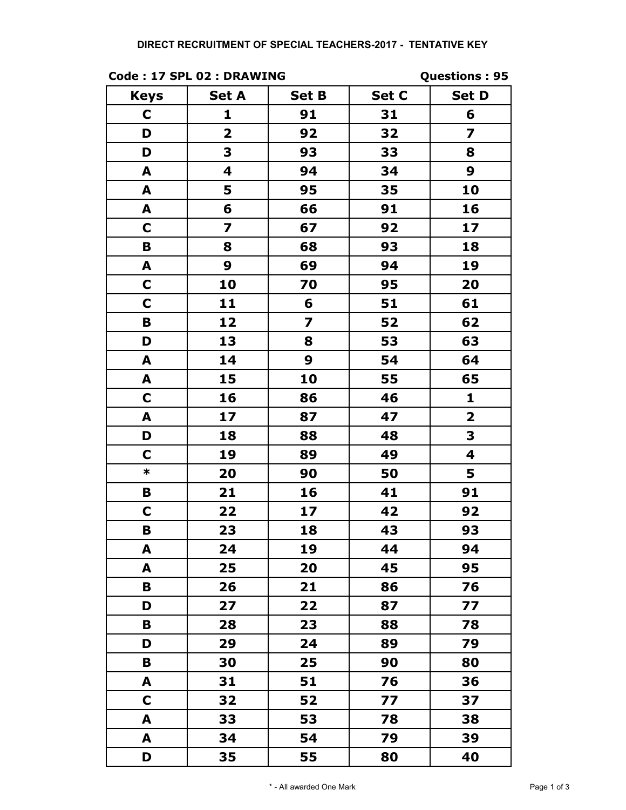## **Code : 17 SPL 02 : DRAWING Questions : 95**

| <b>Keys</b>  | <b>Set A</b>            | <b>Set B</b>            | Set C | <b>Set D</b>            |
|--------------|-------------------------|-------------------------|-------|-------------------------|
| $\mathbf C$  | 1                       | 91                      | 31    | 6                       |
| D            | $\overline{\mathbf{2}}$ | 92                      | 32    | $\overline{\mathbf{z}}$ |
| D            | 3                       | 93                      | 33    | 8                       |
| A            | 4                       | 94                      | 34    | 9                       |
| A            | 5                       | 95                      | 35    | 10                      |
| A            | 6                       | 66                      | 91    | 16                      |
| C            | $\overline{\mathbf{z}}$ | 67                      | 92    | 17                      |
| B            | 8                       | 68                      | 93    | 18                      |
| A            | 9                       | 69                      | 94    | 19                      |
| $\mathbf C$  | 10                      | 70                      | 95    | 20                      |
| $\mathbf C$  | 11                      | 6                       | 51    | 61                      |
| B            | 12                      | $\overline{\mathbf{z}}$ | 52    | 62                      |
| D            | 13                      | 8                       | 53    | 63                      |
| A            | 14                      | 9                       | 54    | 64                      |
| A            | 15                      | 10                      | 55    | 65                      |
| $\mathbf C$  | 16                      | 86                      | 46    | $\mathbf{1}$            |
| A            | 17                      | 87                      | 47    | $\overline{\mathbf{2}}$ |
| D            | 18                      | 88                      | 48    | 3                       |
| C            | 19                      | 89                      | 49    | 4                       |
| $\pmb{\ast}$ | 20                      | 90                      | 50    | 5                       |
| В            | 21                      | 16                      | 41    | 91                      |
| $\mathbf C$  | 22                      | 17                      | 42    | 92                      |
| B            | 23                      | 18                      | 43    | 93                      |
| A            | 24                      | 19                      | 44    | 94                      |
| A            | 25                      | 20                      | 45    | 95                      |
| B            | 26                      | 21                      | 86    | 76                      |
| D            | 27                      | 22                      | 87    | 77                      |
| В            | 28                      | 23                      | 88    | 78                      |
| D            | 29                      | 24                      | 89    | 79                      |
| B            | 30                      | 25                      | 90    | 80                      |
| A            | 31                      | 51                      | 76    | 36                      |
| C            | 32                      | 52                      | 77    | 37                      |
| A            | 33                      | 53                      | 78    | 38                      |
| A            | 34                      | 54                      | 79    | 39                      |
| D            | 35                      | 55                      | 80    | 40                      |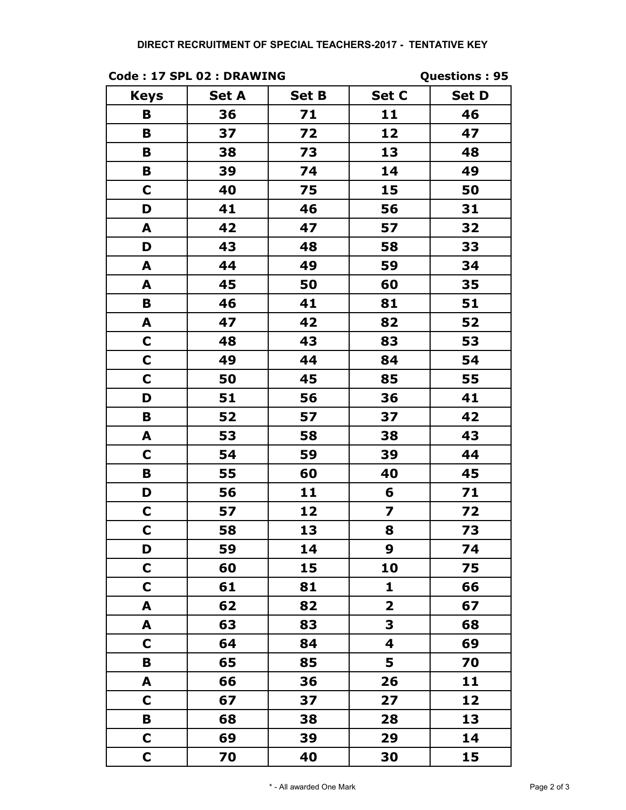## **Code : 17 SPL 02 : DRAWING Questions : 95**

| <b>Keys</b> | <b>Set A</b> | <b>Set B</b> | Set C                   | <b>Set D</b> |
|-------------|--------------|--------------|-------------------------|--------------|
| B           | 36           | 71           | 11                      | 46           |
| В           | 37           | 72           | 12                      | 47           |
| В           | 38           | 73           | 13                      | 48           |
| B           | 39           | 74           | 14                      | 49           |
| $\mathbf C$ | 40           | 75           | 15                      | 50           |
| D           | 41           | 46           | 56                      | 31           |
| A           | 42           | 47           | 57                      | 32           |
| D           | 43           | 48           | 58                      | 33           |
| A           | 44           | 49           | 59                      | 34           |
| A           | 45           | 50           | 60                      | 35           |
| В           | 46           | 41           | 81                      | 51           |
| A           | 47           | 42           | 82                      | 52           |
| $\mathbf C$ | 48           | 43           | 83                      | 53           |
| $\mathbf C$ | 49           | 44           | 84                      | 54           |
| $\mathbf C$ | 50           | 45           | 85                      | 55           |
| D           | 51           | 56           | 36                      | 41           |
| В           | 52           | 57           | 37                      | 42           |
| A           | 53           | 58           | 38                      | 43           |
| $\mathbf C$ | 54           | 59           | 39                      | 44           |
| B           | 55           | 60           | 40                      | 45           |
| D           | 56           | 11           | 6                       | 71           |
| $\mathbf C$ | 57           | 12           | 7                       | 72           |
| $\mathbf C$ | 58           | 13           | 8                       | 73           |
| D           | 59           | 14           | 9                       | 74           |
| C           | 60           | 15           | 10                      | 75           |
| $\mathbf C$ | 61           | 81           | $\mathbf{1}$            | 66           |
| A           | 62           | 82           | $\overline{\mathbf{2}}$ | 67           |
| A           | 63           | 83           | 3                       | 68           |
| C           | 64           | 84           | 4                       | 69           |
| B           | 65           | 85           | 5                       | 70           |
| A           | 66           | 36           | 26                      | 11           |
| $\mathbf C$ | 67           | 37           | 27                      | 12           |
| B           | 68           | 38           | 28                      | 13           |
| $\mathbf C$ | 69           | 39           | 29                      | 14           |
| $\mathbf C$ | 70           | 40           | 30                      | 15           |